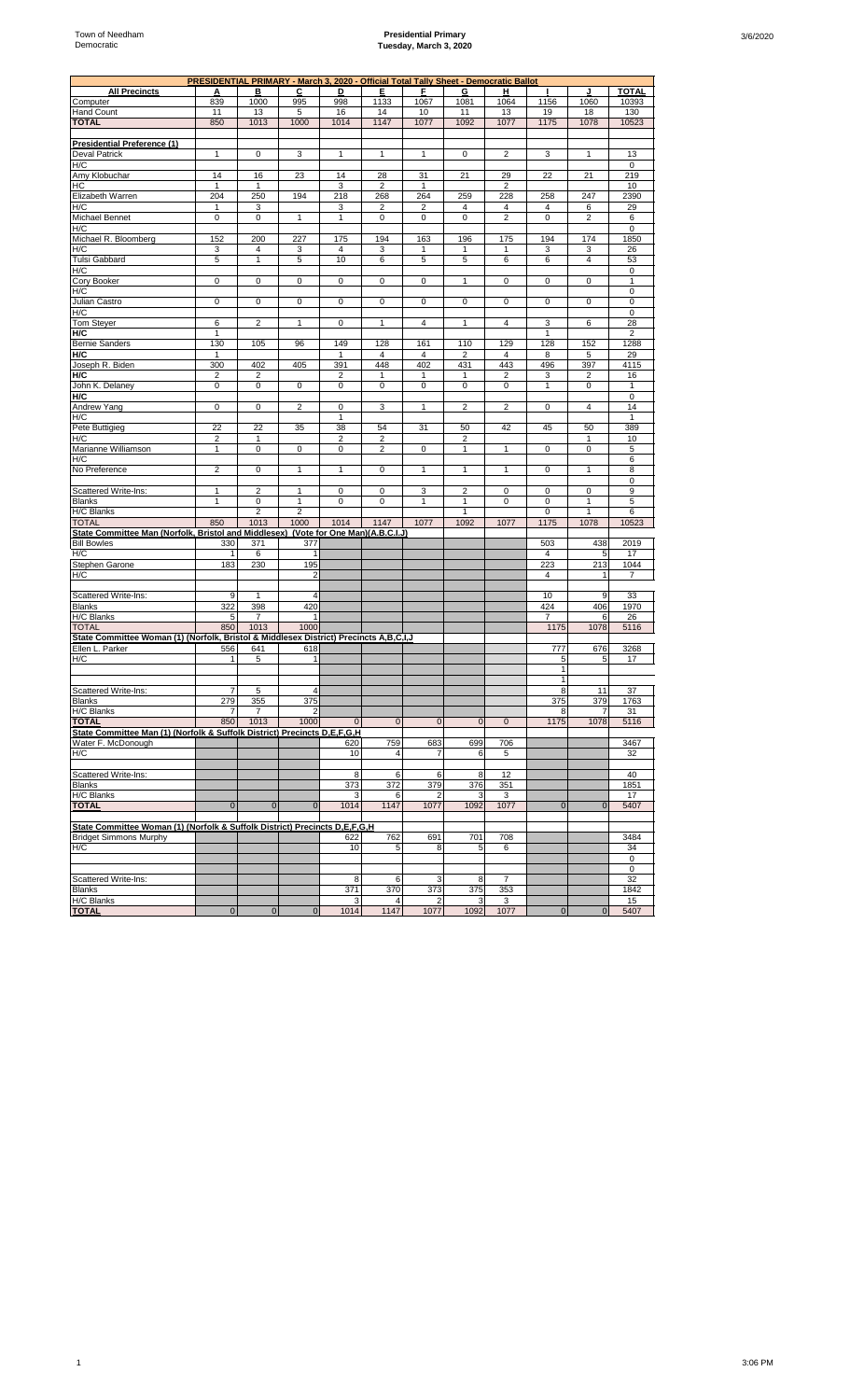## **Presidential Primary Tuesday, March 3, 2020**

|                                                                                       |                         |                |                         |                      | PRESIDENTIAL PRIMARY - March 3, 2020 - Official Total Tally Sheet - Democratic Ballot |                         |                      |                |                       |                |                   |
|---------------------------------------------------------------------------------------|-------------------------|----------------|-------------------------|----------------------|---------------------------------------------------------------------------------------|-------------------------|----------------------|----------------|-----------------------|----------------|-------------------|
| <b>All Precincts</b>                                                                  | А                       | в              | С                       | D                    | Е                                                                                     | F                       | G                    | н              |                       | J              | <b>TOTAL</b>      |
| Computer                                                                              | 839                     | 1000           | 995                     | 998                  | 1133                                                                                  | 1067                    | 1081                 | 1064           | 1156                  | 1060           | 10393             |
| <b>Hand Count</b>                                                                     | 11                      | 13             | 5                       | 16                   | 14                                                                                    | 10                      | 11                   | 13             | 19                    | 18             | 130               |
| <b>TOTAL</b>                                                                          | 850                     | 1013           | 1000                    | 1014                 | 1147                                                                                  | 1077                    | 1092                 | 1077           | 1175                  | 1078           | 10523             |
| <b>Presidential Preference (1)</b>                                                    |                         |                |                         |                      |                                                                                       |                         |                      |                |                       |                |                   |
| <b>Deval Patrick</b>                                                                  | 1                       | $\mathbf 0$    | 3                       | 1                    | $\mathbf{1}$                                                                          | 1                       | 0                    | 2              | 3                     | 1              | 13                |
| H/C                                                                                   |                         |                |                         |                      |                                                                                       |                         |                      |                |                       |                | 0                 |
| Amy Klobuchar                                                                         | 14                      | 16             | 23                      | 14                   | 28                                                                                    | 31                      | 21                   | 29             | 22                    | 21             | 219               |
| HC                                                                                    | 1                       | 1              |                         | 3                    | $\overline{2}$                                                                        | 1                       |                      | $\overline{2}$ |                       |                | 10                |
| Elizabeth Warren                                                                      | 204                     | 250            | 194                     | 218                  | 268                                                                                   | 264                     | 259                  | 228            | 258                   | 247            | 2390              |
| H/C                                                                                   | 1                       | 3              |                         | 3                    | $\overline{2}$                                                                        | $\overline{\mathbf{c}}$ | 4                    | 4              | 4                     | 6              | 29                |
| <b>Michael Bennet</b>                                                                 | 0                       | $\pmb{0}$      | $\mathbf{1}$            | $\mathbf{1}$         | $\mathbf 0$                                                                           | 0                       | 0                    | $\overline{2}$ | $\mathbf 0$           | $\overline{2}$ | 6                 |
| H/C                                                                                   |                         |                |                         |                      |                                                                                       |                         |                      |                |                       |                | $\mathbf 0$       |
| Michael R. Bloomberg                                                                  | 152                     | 200            | 227                     | 175                  | 194                                                                                   | 163                     | 196                  | 175            | 194                   | 174            | 1850              |
| H/C                                                                                   | 3                       | 4              | 3                       | 4                    | 3                                                                                     | $\mathbf{1}$            | $\mathbf{1}$         | 1              | 3                     | 3              | 26                |
| Tulsi Gabbard                                                                         | 5                       | 1              | 5                       | 10                   | 6                                                                                     | 5                       | 5                    | 6              | 6                     | 4              | 53                |
| H/C                                                                                   | $\mathbf 0$             | 0              | 0                       | $\mathbf 0$          | 0                                                                                     | 0                       | $\mathbf{1}$         | 0              | $\mathbf 0$           | 0              | 0<br>$\mathbf{1}$ |
| Cory Booker<br>H/C                                                                    |                         |                |                         |                      |                                                                                       |                         |                      |                |                       |                | $\mathbf 0$       |
| Julian Castro                                                                         | $\mathbf 0$             | $\mathbf 0$    | $\mathbf 0$             | $\mathbf 0$          | $\pmb{0}$                                                                             | $\mathbf 0$             | $\mathbf 0$          | $\mathbf 0$    | $\mathbf 0$           | 0              | $\mathbf 0$       |
| H/C                                                                                   |                         |                |                         |                      |                                                                                       |                         |                      |                |                       |                | $\mathbf 0$       |
| <b>Tom Steyer</b>                                                                     | 6                       | $\overline{2}$ | $\mathbf{1}$            | $\mathbf 0$          | $\mathbf{1}$                                                                          | $\overline{4}$          | $\mathbf{1}$         | $\overline{4}$ | 3                     | 6              | 28                |
| H/C                                                                                   | $\mathbf{1}$            |                |                         |                      |                                                                                       |                         |                      |                | $\mathbf{1}$          |                | $\overline{2}$    |
| <b>Bernie Sanders</b>                                                                 | 130                     | 105            | 96                      | 149                  | 128                                                                                   | 161                     | 110                  | 129            | 128                   | 152            | 1288              |
| H/C                                                                                   | $\overline{1}$          |                |                         | $\mathbf{1}$         | $\overline{4}$                                                                        | 4                       | $\overline{2}$       | 4              | 8                     | 5              | 29                |
| Joseph R. Biden                                                                       | 300                     | 402            | 405                     | 391                  | 448                                                                                   | 402                     | 431                  | 443            | 496                   | 397            | 4115              |
| H/C                                                                                   | $\overline{\mathbf{c}}$ | $\mathbf 2$    |                         | $\overline{2}$       | $\mathbf{1}$                                                                          | 1                       | 1                    | $\overline{2}$ | 3                     | $\overline{2}$ | 16                |
| John K. Delaney                                                                       | 0                       | $\pmb{0}$      | 0                       | 0                    | $\mathbf 0$                                                                           | 0                       | 0                    | 0              | 1                     | 0              | 1                 |
| H/C                                                                                   |                         |                |                         |                      |                                                                                       |                         |                      |                |                       |                | 0                 |
| Andrew Yang                                                                           | 0                       | 0              | $\overline{\mathbf{c}}$ | 0                    | 3                                                                                     | $\mathbf{1}$            | $\overline{2}$       | $\overline{2}$ | 0                     | 4              | 14                |
| H/C                                                                                   |                         |                |                         | $\mathbf{1}$         |                                                                                       |                         |                      |                |                       |                | 1                 |
| Pete Buttigieg<br>H/C                                                                 | 22<br>$\overline{2}$    | 22<br>1        | 35                      | 38<br>$\overline{2}$ | 54<br>$\overline{2}$                                                                  | 31                      | 50<br>$\overline{2}$ | 42             | 45                    | 50<br>1        | 389<br>10         |
| Marianne Williamson                                                                   | 1                       | 0              | $\pmb{0}$               | 0                    | $\overline{2}$                                                                        | $\mathsf{O}\xspace$     | $\mathbf{1}$         | $\mathbf{1}$   | 0                     | 0              | 5                 |
| H/C                                                                                   |                         |                |                         |                      |                                                                                       |                         |                      |                |                       |                | 6                 |
| No Preference                                                                         | $\overline{2}$          | $\pmb{0}$      | 1                       | $\mathbf{1}$         | $\mathbf 0$                                                                           | $\mathbf{1}$            | 1                    | 1              | $\mathbf 0$           | 1              | 8                 |
|                                                                                       |                         |                |                         |                      |                                                                                       |                         |                      |                |                       |                | 0                 |
| Scattered Write-Ins:                                                                  | 1                       | $\overline{2}$ | $\mathbf{1}$            | 0                    | $\mathbf 0$                                                                           | 3                       | 2                    | $\mathbf 0$    | $\mathbf 0$           | 0              | 9                 |
| <b>Blanks</b>                                                                         | $\mathbf{1}$            | 0              | 1                       | 0                    | 0                                                                                     | 1                       | 1                    | 0              | 0                     | 1              | 5                 |
| <b>H/C Blanks</b>                                                                     |                         | $\overline{2}$ | $\overline{2}$          |                      |                                                                                       |                         | $\mathbf{1}$         |                | $\mathbf 0$           | 1              | 6                 |
| <b>TOTAL</b>                                                                          | 850                     | 1013           | 1000                    | 1014                 | 1147                                                                                  | 1077                    | 1092                 | 1077           | 1175                  | 1078           | 10523             |
| State Committee Man (Norfolk, Bristol and Middlesex) (Vote for One Man)(A.B.C.I.J)    |                         |                |                         |                      |                                                                                       |                         |                      |                |                       |                |                   |
| <b>Bill Bowles</b>                                                                    | 330                     | 371            | 377                     |                      |                                                                                       |                         |                      |                | 503                   | 438            | 2019              |
| H/C                                                                                   | 1<br>183                | 6<br>230       | $\mathbf{1}$<br>195     |                      |                                                                                       |                         |                      |                | $\overline{4}$<br>223 | 5<br>213       | 17<br>1044        |
| Stephen Garone<br>H/C                                                                 |                         |                | $\overline{2}$          |                      |                                                                                       |                         |                      |                | $\overline{4}$        | $\mathbf{1}$   | $\overline{7}$    |
|                                                                                       |                         |                |                         |                      |                                                                                       |                         |                      |                |                       |                |                   |
| Scattered Write-Ins:                                                                  | 9                       | $\mathbf{1}$   | $\overline{4}$          |                      |                                                                                       |                         |                      |                | 10                    | 9              | 33                |
| <b>Blanks</b>                                                                         | 322                     | 398            | 420                     |                      |                                                                                       |                         |                      |                | 424                   | 406            | 1970              |
| H/C Blanks                                                                            | 5                       | $\overline{7}$ |                         |                      |                                                                                       |                         |                      |                | $\overline{7}$        | 6              | 26                |
| <b>TOTAL</b>                                                                          | 850                     | 1013           | 1000                    |                      |                                                                                       |                         |                      |                | 1175                  | 1078           | 5116              |
| State Committee Woman (1) (Norfolk, Bristol & Middlesex District) Precincts A,B,C,I,J |                         |                |                         |                      |                                                                                       |                         |                      |                |                       |                |                   |
| Ellen L. Parker                                                                       | 556                     | 641            | 618                     |                      |                                                                                       |                         |                      |                | 777                   | 676            | 3268              |
| H/C                                                                                   | 1                       | 5              | 1                       |                      |                                                                                       |                         |                      |                | 5                     | 5              | 17                |
|                                                                                       |                         |                |                         |                      |                                                                                       |                         |                      |                | 1                     |                |                   |
| Scattered Write-Ins:                                                                  | 7                       | 5              | 4                       |                      |                                                                                       |                         |                      |                | 8                     | 11             | 37                |
| <b>Blanks</b>                                                                         | 279                     | 355            | 375                     |                      |                                                                                       |                         |                      |                | 375                   | 379            | 1763              |
| H/C Blanks                                                                            | $\overline{7}$          | $\overline{7}$ | $\overline{2}$          |                      |                                                                                       |                         |                      |                | 8                     | $\overline{7}$ | 31                |
| <b>TOTAL</b>                                                                          | 850                     | 1013           | 1000                    | $\mathbf 0$          | $\mathbf{0}$                                                                          | $\mathbf{0}$            | $\mathbf 0$          | $\mathbf 0$    | 1175                  | 1078           | 5116              |
| State Committee Man (1) (Norfolk & Suffolk District) Precincts D,E,F,G,H              |                         |                |                         |                      |                                                                                       |                         |                      |                |                       |                |                   |
| Water F. McDonough                                                                    |                         |                |                         | 620                  | 759                                                                                   | 683                     | 699                  | 706            |                       |                | 3467              |
| H/C                                                                                   |                         |                |                         | 10                   | $\overline{4}$                                                                        | 7                       | 6                    | 5              |                       |                | 32                |
|                                                                                       |                         |                |                         |                      |                                                                                       |                         |                      |                |                       |                |                   |
| Scattered Write-Ins:                                                                  |                         |                |                         | 8                    | 6                                                                                     | 6                       | 8                    | 12             |                       |                | 40                |
| <b>Blanks</b>                                                                         |                         |                |                         | 373                  | 372                                                                                   | 379                     | 376                  | 351            |                       |                | 1851              |
| H/C Blanks                                                                            | $\mathbf{0}$            |                | $\mathbf{0}$            | 3<br>1014            | 6<br>1147                                                                             | 2                       | 3                    | 3              |                       |                | 17                |
| <b>TOTAL</b>                                                                          |                         | $\mathbf 0$    |                         |                      |                                                                                       | 1077                    | 1092                 | 1077           | $\mathbf 0$           | $\mathbf 0$    | 5407              |
| State Committee Woman (1) (Norfolk & Suffolk District) Precincts D,E,F,G,H            |                         |                |                         |                      |                                                                                       |                         |                      |                |                       |                |                   |
| <b>Bridget Simmons Murphy</b>                                                         |                         |                |                         | 622                  | 762                                                                                   | 691                     | 701                  | 708            |                       |                | 3484              |
| H/C                                                                                   |                         |                |                         | 10                   | 5                                                                                     | 8                       | 5                    | 6              |                       |                | 34                |
|                                                                                       |                         |                |                         |                      |                                                                                       |                         |                      |                |                       |                | $\mathbf 0$       |
|                                                                                       |                         |                |                         |                      |                                                                                       |                         |                      |                |                       |                | 0                 |
| Scattered Write-Ins:                                                                  |                         |                |                         | 8                    | 6                                                                                     | 3                       | 8                    | $\overline{7}$ |                       |                | 32                |
| <b>Blanks</b>                                                                         |                         |                |                         | 371                  | 370                                                                                   | 373                     | 375                  | 353            |                       |                | 1842              |
| H/C Blanks                                                                            |                         |                |                         | 3                    | 4                                                                                     | 2                       | 3                    | 3              |                       |                | 15                |
| <b>TOTAL</b>                                                                          | $\bf{0}$                | $\pmb{0}$      | $\mathbf{0}$            | 1014                 | 1147                                                                                  | 1077                    | 1092                 | 1077           | $\mathbf{0}$          | 0              | 5407              |